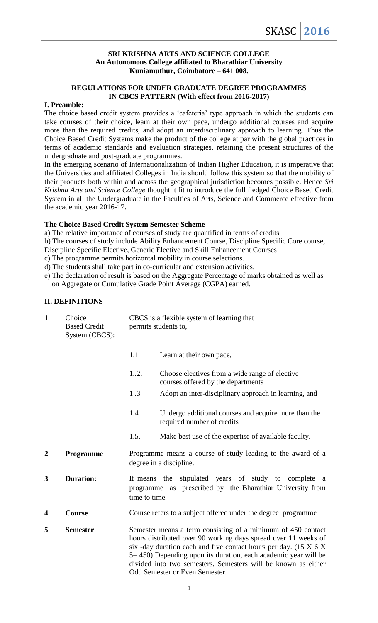### **SRI KRISHNA ARTS AND SCIENCE COLLEGE An Autonomous College affiliated to Bharathiar University Kuniamuthur, Coimbatore – 641 008.**

### **REGULATIONS FOR UNDER GRADUATE DEGREE PROGRAMMES IN CBCS PATTERN (With effect from 2016-2017)**

# **I. Preamble:**

The choice based credit system provides a 'cafeteria' type approach in which the students can take courses of their choice, learn at their own pace, undergo additional courses and acquire more than the required credits, and adopt an interdisciplinary approach to learning. Thus the Choice Based Credit Systems make the product of the college at par with the global practices in terms of academic standards and evaluation strategies, retaining the present structures of the undergraduate and post-graduate programmes.

In the emerging scenario of Internationalization of Indian Higher Education, it is imperative that the Universities and affiliated Colleges in India should follow this system so that the mobility of their products both within and across the geographical jurisdiction becomes possible. Hence *Sri Krishna Arts and Science College* thought it fit to introduce the full fledged Choice Based Credit System in all the Undergraduate in the Faculties of Arts, Science and Commerce effective from the academic year 2016-17.

# **The Choice Based Credit System Semester Scheme**

a) The relative importance of courses of study are quantified in terms of credits

b) The courses of study include Ability Enhancement Course, Discipline Specific Core course,

Discipline Specific Elective, Generic Elective and Skill Enhancement Courses

c) The programme permits horizontal mobility in course selections.

d) The students shall take part in co-curricular and extension activities.

e) The declaration of result is based on the Aggregate Percentage of marks obtained as well as on Aggregate or Cumulative Grade Point Average (CGPA) earned.

# **II. DEFINITIONS**

| $\mathbf{1}$   | Choice<br><b>Based Credit</b><br>System (CBCS): | CBCS is a flexible system of learning that<br>permits students to,                                                                                                                                                                                                                                                                                                           |                                                                                        |  |
|----------------|-------------------------------------------------|------------------------------------------------------------------------------------------------------------------------------------------------------------------------------------------------------------------------------------------------------------------------------------------------------------------------------------------------------------------------------|----------------------------------------------------------------------------------------|--|
|                |                                                 | 1.1                                                                                                                                                                                                                                                                                                                                                                          | Learn at their own pace,                                                               |  |
|                |                                                 | 1.2.                                                                                                                                                                                                                                                                                                                                                                         | Choose electives from a wide range of elective<br>courses offered by the departments   |  |
|                |                                                 | 1.3                                                                                                                                                                                                                                                                                                                                                                          | Adopt an inter-disciplinary approach in learning, and                                  |  |
|                |                                                 | 1.4<br>Undergo additional courses and acquire more than the<br>required number of credits                                                                                                                                                                                                                                                                                    |                                                                                        |  |
|                |                                                 | 1.5.                                                                                                                                                                                                                                                                                                                                                                         | Make best use of the expertise of available faculty.                                   |  |
| $\overline{2}$ | Programme                                       |                                                                                                                                                                                                                                                                                                                                                                              | Programme means a course of study leading to the award of a<br>degree in a discipline. |  |
| 3              | <b>Duration:</b>                                | stipulated years of study to<br>It means<br>the<br>complete<br>a a<br>programme as prescribed by the Bharathiar University from<br>time to time.                                                                                                                                                                                                                             |                                                                                        |  |
| 4              | Course                                          | Course refers to a subject offered under the degree programme                                                                                                                                                                                                                                                                                                                |                                                                                        |  |
| 5              | <b>Semester</b>                                 | Semester means a term consisting of a minimum of 450 contact<br>hours distributed over 90 working days spread over 11 weeks of<br>six -day duration each and five contact hours per day. $(15 X 6 X)$<br>5 = 450) Depending upon its duration, each academic year will be<br>divided into two semesters. Semesters will be known as either<br>Odd Semester or Even Semester. |                                                                                        |  |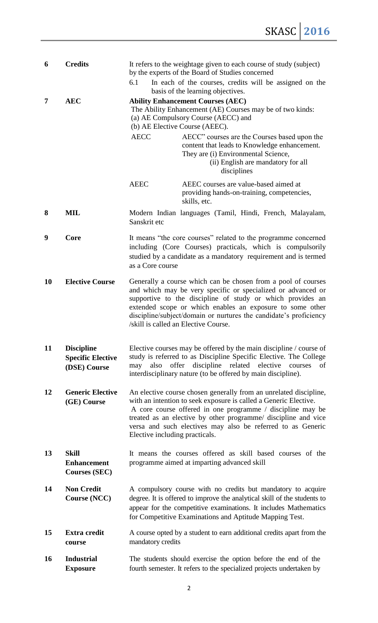| 6         | <b>Credits</b>                                                | It refers to the weightage given to each course of study (subject)<br>by the experts of the Board of Studies concerned                                                                                                                                                                                                                                                     |  |  |  |
|-----------|---------------------------------------------------------------|----------------------------------------------------------------------------------------------------------------------------------------------------------------------------------------------------------------------------------------------------------------------------------------------------------------------------------------------------------------------------|--|--|--|
|           |                                                               | 6.1<br>In each of the courses, credits will be assigned on the<br>basis of the learning objectives.                                                                                                                                                                                                                                                                        |  |  |  |
| 7         | <b>AEC</b>                                                    | <b>Ability Enhancement Courses (AEC)</b><br>The Ability Enhancement (AE) Courses may be of two kinds:<br>(a) AE Compulsory Course (AECC) and<br>(b) AE Elective Course (AEEC).<br><b>AECC</b><br>AECC" courses are the Courses based upon the<br>content that leads to Knowledge enhancement.<br>They are (i) Environmental Science,<br>(ii) English are mandatory for all |  |  |  |
|           |                                                               | disciplines                                                                                                                                                                                                                                                                                                                                                                |  |  |  |
|           |                                                               | <b>AEEC</b><br>AEEC courses are value-based aimed at<br>providing hands-on-training, competencies,<br>skills, etc.                                                                                                                                                                                                                                                         |  |  |  |
| 8         | MIL                                                           | Modern Indian languages (Tamil, Hindi, French, Malayalam,<br>Sanskrit etc                                                                                                                                                                                                                                                                                                  |  |  |  |
| 9         | Core                                                          | It means "the core courses" related to the programme concerned<br>including (Core Courses) practicals, which is compulsorily<br>studied by a candidate as a mandatory requirement and is termed<br>as a Core course                                                                                                                                                        |  |  |  |
| 10        | <b>Elective Course</b>                                        | Generally a course which can be chosen from a pool of courses<br>and which may be very specific or specialized or advanced or<br>supportive to the discipline of study or which provides an<br>extended scope or which enables an exposure to some other<br>discipline/subject/domain or nurtures the candidate's proficiency<br>/skill is called an Elective Course.      |  |  |  |
| 11        | <b>Discipline</b><br><b>Specific Elective</b><br>(DSE) Course | Elective courses may be offered by the main discipline / course of<br>study is referred to as Discipline Specific Elective. The College<br>offer discipline related<br>elective courses<br>of<br>also<br>may<br>interdisciplinary nature (to be offered by main discipline).                                                                                               |  |  |  |
| 12        | <b>Generic Elective</b><br>(GE) Course                        | An elective course chosen generally from an unrelated discipline,<br>with an intention to seek exposure is called a Generic Elective.<br>A core course offered in one programme / discipline may be<br>treated as an elective by other programme/ discipline and vice<br>versa and such electives may also be referred to as Generic<br>Elective including practicals.     |  |  |  |
| 13        | <b>Skill</b><br><b>Enhancement</b><br><b>Courses (SEC)</b>    | It means the courses offered as skill based courses of the<br>programme aimed at imparting advanced skill                                                                                                                                                                                                                                                                  |  |  |  |
| 14        | <b>Non Credit</b><br>Course (NCC)                             | A compulsory course with no credits but mandatory to acquire<br>degree. It is offered to improve the analytical skill of the students to<br>appear for the competitive examinations. It includes Mathematics<br>for Competitive Examinations and Aptitude Mapping Test.                                                                                                    |  |  |  |
| 15        | <b>Extra credit</b><br>course                                 | A course opted by a student to earn additional credits apart from the<br>mandatory credits                                                                                                                                                                                                                                                                                 |  |  |  |
| <b>16</b> | <b>Industrial</b><br><b>Exposure</b>                          | The students should exercise the option before the end of the<br>fourth semester. It refers to the specialized projects undertaken by                                                                                                                                                                                                                                      |  |  |  |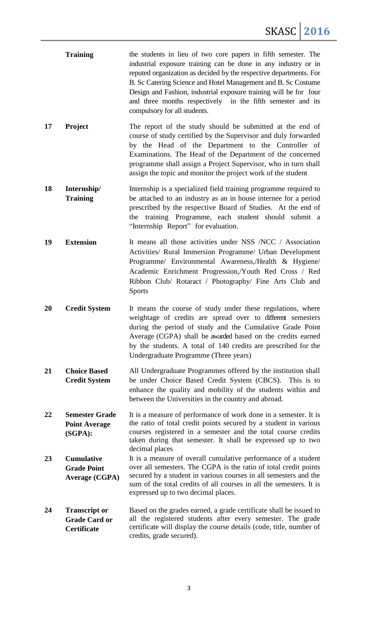- **Training** the students in lieu of two core papers in fifth semester. The industrial exposure training can be done in any industry or in reputed organization as decided by the respective departments. For B. Sc Catering Science and Hotel Management and B. Sc Costume Design and Fashion, industrial exposure training will be for four and three months respectively in the fifth semester and its compulsory for all students.
- **17 Project** The report of the study should be submitted at the end of course of study certified by the Supervisor and duly forwarded by the Head of the Department to the Controller of Examinations. The Head of the Department of the concerned programme shall assign a Project Supervisor, who in turn shall assign the topic and monitor the project work of the student
- **18 Internship/ Training** Internship is a specialized field training programme required to be attached to an industry as an in house internee for a period prescribed by the respective Board of Studies. At the end of the training Programme, each student should submit a "Internship Report" for evaluation.
- **19 Extension** It means all those activities under NSS /NCC / Association Activities/ Rural Immersion Programme/ Urban Development Programme/ Environmental Awareness,/Health & Hygiene/ Academic Enrichment Progression,/Youth Red Cross / Red Ribbon Club/ Rotaract / Photography/ Fine Arts Club and Sports
- **20 Credit System** It means the course of study under these regulations, where weightage of credits are spread over to different semesters during the period of study and the Cumulative Grade Point Average (CGPA) shall be awarded based on the credits earned by the students. A total of 140 credits are prescribed for the Undergraduate Programme (Three years)
- **21 Choice Based Credit System** All Undergraduate Programmes offered by the institution shall be under Choice Based Credit System (CBCS). This is to enhance the quality and mobility of the students within and between the Universities in the country and abroad.
- **22 Semester Grade Point Average (SGPA):** It is a measure of performance of work done in a semester. It is the ratio of total credit points secured by a student in various courses registered in a semester and the total course credits taken during that semester. It shall be expressed up to two decimal places
- **23 Cumulative Grade Point Average (CGPA)** It is a measure of overall cumulative performance of a student over all semesters. The CGPA is the ratio of total credit points secured by a student in various courses in all semesters and the sum of the total credits of all courses in all the semesters. It is expressed up to two decimal places.
- **24 Transcript or Grade Card or Certificate** Based on the grades earned, a grade certificate shall be issued to all the registered students after every semester. The grade certificate will display the course details (code, title, number of credits, grade secured).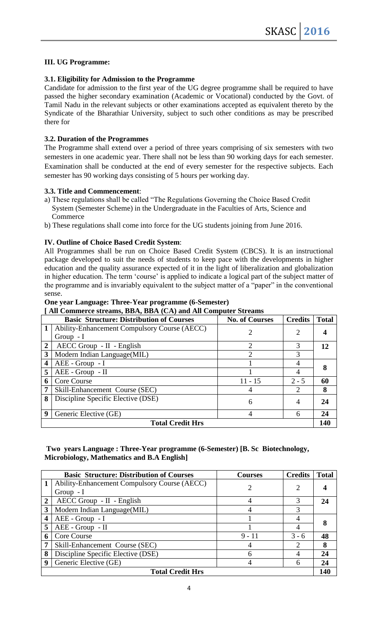### **III. UG Programme:**

#### **3.1. Eligibility for Admission to the Programme**

Candidate for admission to the first year of the UG degree programme shall be required to have passed the higher secondary examination (Academic or Vocational) conducted by the Govt. of Tamil Nadu in the relevant subjects or other examinations accepted as equivalent thereto by the Syndicate of the Bharathiar University, subject to such other conditions as may be prescribed there for

### **3.2. Duration of the Programmes**

The Programme shall extend over a period of three years comprising of six semesters with two semesters in one academic year. There shall not be less than 90 working days for each semester. Examination shall be conducted at the end of every semester for the respective subjects. Each semester has 90 working days consisting of 5 hours per working day.

#### **3.3. Title and Commencement**:

- a) These regulations shall be called "The Regulations Governing the Choice Based Credit System (Semester Scheme) in the Undergraduate in the Faculties of Arts, Science and Commerce
- b) These regulations shall come into force for the UG students joining from June 2016.

#### **IV. Outline of Choice Based Credit System**:

All Programmes shall be run on Choice Based Credit System (CBCS). It is an instructional package developed to suit the needs of students to keep pace with the developments in higher education and the quality assurance expected of it in the light of liberalization and globalization in higher education. The term "course" is applied to indicate a logical part of the subject matter of the programme and is invariably equivalent to the subject matter of a "paper" in the conventional sense.

#### **One year Language: Three-Year programme (6-Semester)**

| [All Commerce streams, BBA, BBA (CA) and All Computer Streams |  |  |  |  |  |  |  |
|---------------------------------------------------------------|--|--|--|--|--|--|--|
|---------------------------------------------------------------|--|--|--|--|--|--|--|

|                         | <b>Basic Structure: Distribution of Courses</b> | <b>No. of Courses</b> | <b>Credits</b>              | <b>Total</b> |  |  |
|-------------------------|-------------------------------------------------|-----------------------|-----------------------------|--------------|--|--|
|                         | Ability-Enhancement Compulsory Course (AECC)    | 2                     | 2                           |              |  |  |
|                         | Group $-I$                                      |                       |                             |              |  |  |
| $\overline{2}$          | $AECC$ Group - II - English                     | $\mathcal{D}$         | 3                           | 12           |  |  |
| 3                       | Modern Indian Language(MIL)                     | റ                     | 3                           |              |  |  |
| $\overline{\mathbf{4}}$ | AEE - Group - I                                 |                       |                             |              |  |  |
| 5                       | AEE - Group - II                                |                       |                             |              |  |  |
| 6                       | Core Course                                     | $11 - 15$             | $2 - 5$                     | 60           |  |  |
| 7                       | Skill-Enhancement Course (SEC)                  | 4                     | $\mathcal{D}_{\mathcal{L}}$ | 8            |  |  |
| 8                       | Discipline Specific Elective (DSE)              | 6                     | 4                           | 24           |  |  |
|                         |                                                 |                       |                             |              |  |  |
| 9                       | Generic Elective (GE)                           | 4                     | 6                           | 24           |  |  |
| <b>Total Credit Hrs</b> |                                                 |                       |                             |              |  |  |

### **Two years Language : Three-Year programme (6-Semester) [B. Sc Biotechnology, Microbiology, Mathematics and B.A English]**

|                         | <b>Basic Structure: Distribution of Courses</b> | <b>Courses</b> | <b>Credits</b> | <b>Total</b> |  |
|-------------------------|-------------------------------------------------|----------------|----------------|--------------|--|
|                         | Ability-Enhancement Compulsory Course (AECC)    | 2              | 2              |              |  |
|                         | $Group - I$                                     |                |                |              |  |
| $\overline{2}$          | AECC Group - II - English                       | 4              |                | 24           |  |
| 3                       | Modern Indian Language(MIL)                     |                |                |              |  |
| 4                       | AEE - Group - I                                 |                |                |              |  |
| 5                       | AEE - Group - II                                |                |                |              |  |
| 6                       | Core Course                                     | $9 - 11$       | $3 - 6$        | 48           |  |
| 7                       | Skill-Enhancement Course (SEC)                  | 4              |                | 8            |  |
| 8                       | Discipline Specific Elective (DSE)              | 6              |                | 24           |  |
| 9                       | Generic Elective (GE)                           |                |                | 24           |  |
| <b>Total Credit Hrs</b> |                                                 |                |                |              |  |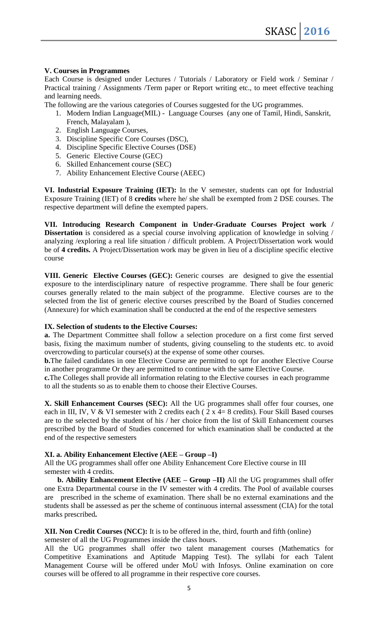### **V. Courses in Programmes**

Each Course is designed under Lectures / Tutorials / Laboratory or Field work / Seminar / Practical training / Assignments /Term paper or Report writing etc., to meet effective teaching and learning needs.

The following are the various categories of Courses suggested for the UG programmes.

- 1. Modern Indian Language(MIL) Language Courses (any one of Tamil, Hindi, Sanskrit, French, Malayalam ),
- 2. English Language Courses,
- 3. Discipline Specific Core Courses (DSC),
- 4. Discipline Specific Elective Courses (DSE)
- 5. Generic Elective Course (GEC)
- 6. Skilled Enhancement course (SEC)
- 7. Ability Enhancement Elective Course (AEEC)

**VI. Industrial Exposure Training (IET):** In the V semester, students can opt for Industrial Exposure Training (IET) of 8 **credits** where he/ she shall be exempted from 2 DSE courses. The respective department will define the exempted papers.

**VII. Introducing Research Component in Under-Graduate Courses Project work / Dissertation** is considered as a special course involving application of knowledge in solving / analyzing /exploring a real life situation / difficult problem. A Project/Dissertation work would be of **4 credits.** A Project/Dissertation work may be given in lieu of a discipline specific elective course

**VIII. Generic Elective Courses (GEC):** Generic courses are designed to give the essential exposure to the interdisciplinary nature of respective programme. There shall be four generic courses generally related to the main subject of the programme. Elective courses are to the selected from the list of generic elective courses prescribed by the Board of Studies concerned (Annexure) for which examination shall be conducted at the end of the respective semesters

### **IX. Selection of students to the Elective Courses:**

**a.** The Department Committee shall follow a selection procedure on a first come first served basis, fixing the maximum number of students, giving counseling to the students etc. to avoid overcrowding to particular course(s) at the expense of some other courses.

**b.**The failed candidates in one Elective Course are permitted to opt for another Elective Course in another programme Or they are permitted to continue with the same Elective Course.

**c.**The Colleges shall provide all information relating to the Elective courses in each programme to all the students so as to enable them to choose their Elective Courses.

**X. Skill Enhancement Courses (SEC):** All the UG programmes shall offer four courses, one each in III, IV, V & VI semester with 2 credits each ( $2 \times 4=8$  credits). Four Skill Based courses are to the selected by the student of his / her choice from the list of Skill Enhancement courses prescribed by the Board of Studies concerned for which examination shall be conducted at the end of the respective semesters

### **XI. a. Ability Enhancement Elective (AEE – Group –I)**

All the UG programmes shall offer one Ability Enhancement Core Elective course in III semester with 4 credits.

 **b. Ability Enhancement Elective (AEE – Group –II)** All the UG programmes shall offer one Extra Departmental course in the IV semester with 4 credits. The Pool of available courses are prescribed in the scheme of examination. There shall be no external examinations and the students shall be assessed as per the scheme of continuous internal assessment (CIA) for the total marks prescribed**.**

# **XII. Non Credit Courses (NCC):** It is to be offered in the, third, fourth and fifth (online)

semester of all the UG Programmes inside the class hours.

All the UG programmes shall offer two talent management courses (Mathematics for Competitive Examinations and Aptitude Mapping Test). The syllabi for each Talent Management Course will be offered under MoU with Infosys. Online examination on core courses will be offered to all programme in their respective core courses.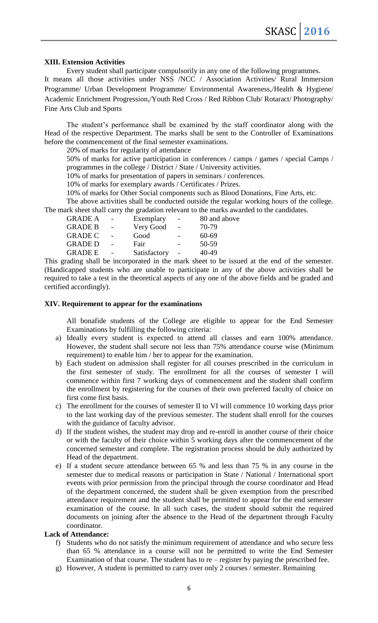#### **XIII. Extension Activities**

Every student shall participate compulsorily in any one of the following programmes. It means all those activities under NSS /NCC / Association Activities/ Rural Immersion Programme/ Urban Development Programme/ Environmental Awareness,/Health & Hygiene/ Academic Enrichment Progression,/Youth Red Cross / Red Ribbon Club/ Rotaract/ Photography/ Fine Arts Club and Sports

The student's performance shall be examined by the staff coordinator along with the Head of the respective Department. The marks shall be sent to the Controller of Examinations before the commencement of the final semester examinations.

20% of marks for regularity of attendance

50% of marks for active participation in conferences / camps / games / special Camps / programmes in the college / District / State / University activities.

10% of marks for presentation of papers in seminars / conferences.

10% of marks for exemplary awards / Certificates / Prizes.

10% of marks for Other Social components such as Blood Donations, Fine Arts, etc.

The above activities shall be conducted outside the regular working hours of the college. The mark sheet shall carry the gradation relevant to the marks awarded to the candidates.

| <b>GRADE A</b> |                | Exemplary    | $\overline{a}$ | 80 and above |
|----------------|----------------|--------------|----------------|--------------|
| <b>GRADE B</b> | $\overline{a}$ | Very Good    | $\sim$         | 70-79        |
| <b>GRADE C</b> |                | Good         |                | $60 - 69$    |
| <b>GRADE D</b> |                | Fair         |                | 50-59        |
| <b>GRADE E</b> |                | Satisfactory | $\overline{a}$ | $40 - 49$    |

This grading shall be incorporated in the mark sheet to be issued at the end of the semester. (Handicapped students who are unable to participate in any of the above activities shall be required to take a test in the theoretical aspects of any one of the above fields and be graded and certified accordingly).

#### **XIV. Requirement to appear for the examinations**

All bonafide students of the College are eligible to appear for the End Semester Examinations by fulfilling the following criteria:

- a) Ideally every student is expected to attend all classes and earn 100% attendance. However, the student shall secure not less than 75% attendance course wise (Minimum requirement) to enable him / her to appear for the examination.
- b) Each student on admission shall register for all courses prescribed in the curriculum in the first semester of study. The enrollment for all the courses of semester I will commence within first 7 working days of commencement and the student shall confirm the enrollment by registering for the courses of their own preferred faculty of choice on first come first basis.
- c) The enrollment for the courses of semester II to VI will commence 10 working days prior to the last working day of the previous semester. The student shall enroll for the courses with the guidance of faculty advisor.
- d) If the student wishes, the student may drop and re-enroll in another course of their choice or with the faculty of their choice within 5 working days after the commencement of the concerned semester and complete. The registration process should be duly authorized by Head of the department.
- e) If a student secure attendance between 65 % and less than 75 % in any course in the semester due to medical reasons or participation in State / National / International sport events with prior permission from the principal through the course coordinator and Head of the department concerned, the student shall be given exemption from the prescribed attendance requirement and the student shall be permitted to appear for the end semester examination of the course. In all such cases, the student should submit the required documents on joining after the absence to the Head of the department through Faculty coordinator.

#### **Lack of Attendance:**

- f) Students who do not satisfy the minimum requirement of attendance and who secure less than 65 % attendance in a course will not be permitted to write the End Semester Examination of that course. The student has to re – register by paying the prescribed fee.
- g) However, A student is permitted to carry over only 2 courses / semester. Remaining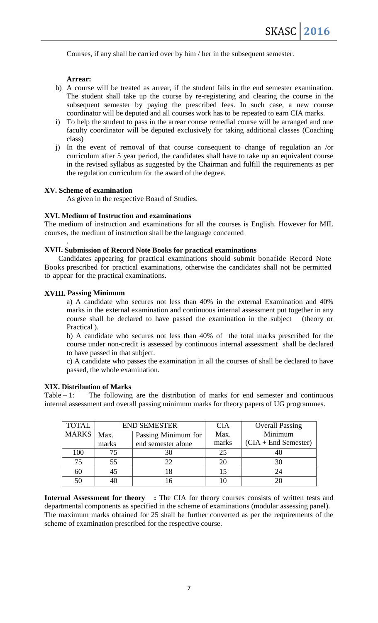Courses, if any shall be carried over by him / her in the subsequent semester.

### **Arrear:**

- h) A course will be treated as arrear, if the student fails in the end semester examination. The student shall take up the course by re-registering and clearing the course in the subsequent semester by paying the prescribed fees. In such case, a new course coordinator will be deputed and all courses work has to be repeated to earn CIA marks.
- i) To help the student to pass in the arrear course remedial course will be arranged and one faculty coordinator will be deputed exclusively for taking additional classes (Coaching class)
- j) In the event of removal of that course consequent to change of regulation an /or curriculum after 5 year period, the candidates shall have to take up an equivalent course in the revised syllabus as suggested by the Chairman and fulfill the requirements as per the regulation curriculum for the award of the degree.

#### **XV. Scheme of examination**

As given in the respective Board of Studies.

#### **XVI. Medium of Instruction and examinations**

The medium of instruction and examinations for all the courses is English. However for MIL courses, the medium of instruction shall be the language concerned

#### **XVII. Submission of Record Note Books for practical examinations**

Candidates appearing for practical examinations should submit bonafide Record Note Books prescribed for practical examinations, otherwise the candidates shall not be permitted to appear for the practical examinations.

#### **XVIII. Passing Minimum**

.

a) A candidate who secures not less than 40% in the external Examination and 40% marks in the external examination and continuous internal assessment put together in any course shall be declared to have passed the examination in the subject (theory or Practical ).

b) A candidate who secures not less than 40% of the total marks prescribed for the course under non-credit is assessed by continuous internal assessment shall be declared to have passed in that subject.

c) A candidate who passes the examination in all the courses of shall be declared to have passed, the whole examination.

#### **XIX. Distribution of Marks**

Table  $-1$ : The following are the distribution of marks for end semester and continuous internal assessment and overall passing minimum marks for theory papers of UG programmes.

| <b>TOTAL</b> |                             | <b>END SEMESTER</b> | <b>CIA</b> | <b>Overall Passing</b> |
|--------------|-----------------------------|---------------------|------------|------------------------|
| <b>MARKS</b> | Passing Minimum for<br>Max. |                     | Max.       | Minimum                |
|              | marks                       | end semester alone  | marks      | $(CIA + End Semester)$ |
| 100          |                             |                     | 25         |                        |
| 75           | 55                          | フフ                  |            |                        |
| 60           |                             |                     |            | 24                     |
| 50           |                             |                     |            |                        |

**Internal Assessment for theory :** The CIA for theory courses consists of written tests and departmental components as specified in the scheme of examinations (modular assessing panel). The maximum marks obtained for 25 shall be further converted as per the requirements of the scheme of examination prescribed for the respective course.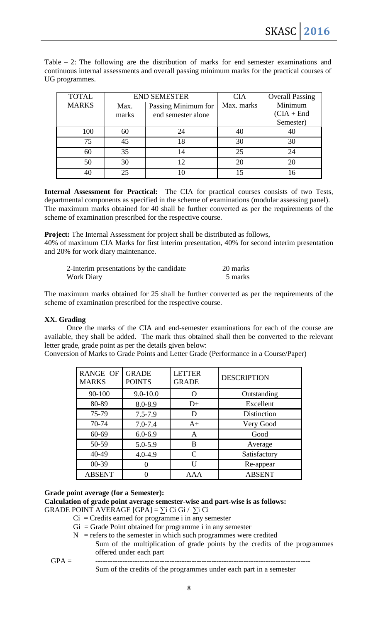Table – 2: The following are the distribution of marks for end semester examinations and continuous internal assessments and overall passing minimum marks for the practical courses of UG programmes.

| <b>TOTAL</b> | <b>END SEMESTER</b>         |                    | <b>CIA</b> | <b>Overall Passing</b> |
|--------------|-----------------------------|--------------------|------------|------------------------|
| <b>MARKS</b> | Passing Minimum for<br>Max. |                    | Max. marks | Minimum                |
|              | marks                       | end semester alone |            | $(CIA + End$           |
|              |                             |                    |            | Semester)              |
| 100          | 60                          | 24                 | 40         | 40                     |
| 75           | 45                          | 18                 | 30         | 30                     |
| 60           | 35                          | 14                 | 25         | 24                     |
| 50           | 30                          | 12                 | 20         | 20                     |
|              |                             |                    |            |                        |

**Internal Assessment for Practical:** The CIA for practical courses consists of two Tests, departmental components as specified in the scheme of examinations (modular assessing panel). The maximum marks obtained for 40 shall be further converted as per the requirements of the scheme of examination prescribed for the respective course.

**Project:** The Internal Assessment for project shall be distributed as follows,

40% of maximum CIA Marks for first interim presentation, 40% for second interim presentation and 20% for work diary maintenance.

| 2-Interim presentations by the candidate | 20 marks |
|------------------------------------------|----------|
| <b>Work Diary</b>                        | 5 marks  |

The maximum marks obtained for 25 shall be further converted as per the requirements of the scheme of examination prescribed for the respective course.

### **XX. Grading**

Once the marks of the CIA and end-semester examinations for each of the course are available, they shall be added. The mark thus obtained shall then be converted to the relevant letter grade, grade point as per the details given below:

Conversion of Marks to Grade Points and Letter Grade (Performance in a Course/Paper)

| <b>RANGE OF</b><br><b>MARKS</b> | <b>GRADE</b><br><b>POINTS</b> | <b>LETTER</b><br><b>GRADE</b> | <b>DESCRIPTION</b> |
|---------------------------------|-------------------------------|-------------------------------|--------------------|
| 90-100                          | $9.0 - 10.0$                  |                               | Outstanding        |
| 80-89                           | 8.0-8.9                       | $D+$                          | Excellent          |
| 75-79                           | $7.5 - 7.9$                   | D                             | <b>Distinction</b> |
| 70-74                           | $7.0 - 7.4$                   | $A+$                          | Very Good          |
| 60-69                           | $6.0 - 6.9$                   | A                             | Good               |
| 50-59                           | 5.0-5.9                       | B                             | Average            |
| 40-49                           | $4.0 - 4.9$                   | $\mathcal{C}_{\mathcal{C}}$   | Satisfactory       |
| $00 - 39$                       |                               |                               | Re-appear          |
| <b>ABSENT</b>                   |                               | AAA                           | <b>ABSENT</b>      |

### **Grade point average (for a Semester):**

**Calculation of grade point average semester-wise and part-wise is as follows:** GRADE POINT AVERAGE  $[GPA] = \sum i Ci Gi / \sum i Ci$ 

- $Ci = C$ redits earned for programme i in any semester
- $Gi = Grade Point obtained for programme i in any semester$
- $N =$  refers to the semester in which such programmes were credited
- Sum of the multiplication of grade points by the credits of the programmes offered under each part GPA = ---------------------------------------------------------------------------------------

Sum of the credits of the programmes under each part in a semester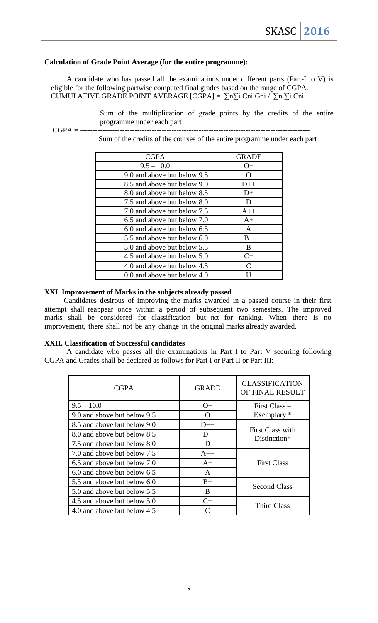### **Calculation of Grade Point Average (for the entire programme):**

A candidate who has passed all the examinations under different parts (Part-I to V) is eligible for the following partwise computed final grades based on the range of CGPA. CUMULATIVE GRADE POINT AVERAGE [CGPA] =  $\sum n\sum i$  Cni Gni /  $\sum n\sum i$  Cni

> Sum of the multiplication of grade points by the credits of the entire programme under each part

CGPA = ---------------------------------------------------------------------------------------------

Sum of the credits of the courses of the entire programme under each part

| <b>CGPA</b>                 | <b>GRADE</b>                |
|-----------------------------|-----------------------------|
| $9.5 - 10.0$                | $O+$                        |
| 9.0 and above but below 9.5 | $\mathbf{\Omega}$           |
| 8.5 and above but below 9.0 | $D++$                       |
| 8.0 and above but below 8.5 | $D+$                        |
| 7.5 and above but below 8.0 | D                           |
| 7.0 and above but below 7.5 | $A++$                       |
| 6.5 and above but below 7.0 | $A+$                        |
| 6.0 and above but below 6.5 | A                           |
| 5.5 and above but below 6.0 | $B+$                        |
| 5.0 and above but below 5.5 | B                           |
| 4.5 and above but below 5.0 | $C+$                        |
| 4.0 and above but below 4.5 | $\mathcal{C}_{\mathcal{C}}$ |
| 0.0 and above but below 4.0 |                             |

#### **XXI. Improvement of Marks in the subjects already passed**

Candidates desirous of improving the marks awarded in a passed course in their first attempt shall reappear once within a period of subsequent two semesters. The improved marks shall be considered for classification but not for ranking. When there is no improvement, there shall not be any change in the original marks already awarded.

#### **XXII. Classification of Successful candidates**

A candidate who passes all the examinations in Part I to Part V securing following CGPA and Grades shall be declared as follows for Part I or Part II or Part III:

| <b>CGPA</b>                 | <b>GRADE</b>       | <b>CLASSIFICATION</b><br>OF FINAL RESULT |
|-----------------------------|--------------------|------------------------------------------|
| $9.5 - 10.0$                | $O+$               | $First Class -$                          |
| 9.0 and above but below 9.5 | $\left( \right)$   | Exemplary *                              |
| 8.5 and above but below 9.0 | $D++$              |                                          |
| 8.0 and above but below 8.5 | $D+$               | First Class with<br>Distinction*         |
| 7.5 and above but below 8.0 | D                  |                                          |
| 7.0 and above but below 7.5 | $A++$              |                                          |
| 6.5 and above but below 7.0 | $A+$               | <b>First Class</b>                       |
| 6.0 and above but below 6.5 | A                  |                                          |
| 5.5 and above but below 6.0 | $B+$               |                                          |
| 5.0 and above but below 5.5 | B                  | <b>Second Class</b>                      |
| 4.5 and above but below 5.0 | <b>Third Class</b> |                                          |
| 4.0 and above but below 4.5 |                    |                                          |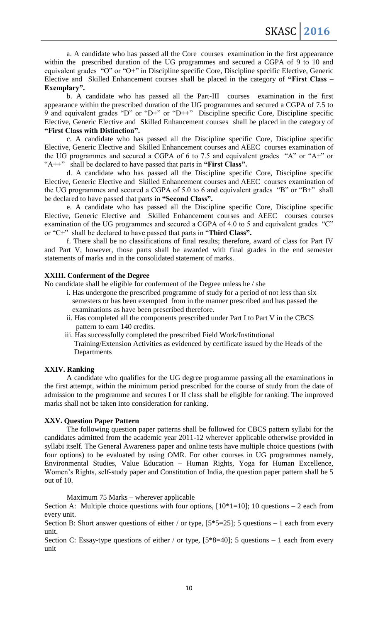a. A candidate who has passed all the Core courses examination in the first appearance within the prescribed duration of the UG programmes and secured a CGPA of 9 to 10 and equivalent grades "O" or "O+" in Discipline specific Core, Discipline specific Elective, Generic Elective and Skilled Enhancement courses shall be placed in the category of **"First Class – Exemplary".**

b. A candidate who has passed all the Part-III courses examination in the first appearance within the prescribed duration of the UG programmes and secured a CGPA of 7.5 to 9 and equivalent grades "D" or "D+" or "D++" Discipline specific Core, Discipline specific Elective, Generic Elective and Skilled Enhancement courses shall be placed in the category of **"First Class with Distinction".**

c. A candidate who has passed all the Discipline specific Core, Discipline specific Elective, Generic Elective and Skilled Enhancement courses and AEEC courses examination of the UG programmes and secured a CGPA of 6 to 7.5 and equivalent grades "A" or "A+" or "A++" shall be declared to have passed that parts in **"First Class".**

d. A candidate who has passed all the Discipline specific Core, Discipline specific Elective, Generic Elective and Skilled Enhancement courses and AEEC courses examination of the UG programmes and secured a CGPA of 5.0 to 6 and equivalent grades "B" or "B+" shall be declared to have passed that parts in **"Second Class".**

e. A candidate who has passed all the Discipline specific Core, Discipline specific Elective, Generic Elective and Skilled Enhancement courses and AEEC courses courses examination of the UG programmes and secured a CGPA of 4.0 to 5 and equivalent grades "C" or "C+" shall be declared to have passed that parts in "**Third Class".**

f. There shall be no classifications of final results; therefore, award of class for Part IV and Part V, however, those parts shall be awarded with final grades in the end semester statements of marks and in the consolidated statement of marks.

### **XXIII. Conferment of the Degree**

No candidate shall be eligible for conferment of the Degree unless he / she

- i. Has undergone the prescribed programme of study for a period of not less than six semesters or has been exempted from in the manner prescribed and has passed the examinations as have been prescribed therefore.
- ii. Has completed all the components prescribed under Part I to Part V in the CBCS pattern to earn 140 credits.
- iii. Has successfully completed the prescribed Field Work/Institutional Training/Extension Activities as evidenced by certificate issued by the Heads of the Departments

# **XXIV. Ranking**

A candidate who qualifies for the UG degree programme passing all the examinations in the first attempt, within the minimum period prescribed for the course of study from the date of admission to the programme and secures I or II class shall be eligible for ranking. The improved marks shall not be taken into consideration for ranking.

# **XXV. Question Paper Pattern**

The following question paper patterns shall be followed for CBCS pattern syllabi for the candidates admitted from the academic year 2011-12 wherever applicable otherwise provided in syllabi itself. The General Awareness paper and online tests have multiple choice questions (with four options) to be evaluated by using OMR. For other courses in UG programmes namely, Environmental Studies, Value Education – Human Rights, Yoga for Human Excellence, Women's Rights, self-study paper and Constitution of India, the question paper pattern shall be 5 out of 10.

Maximum 75 Marks – wherever applicable

Section A: Multiple choice questions with four options,  $[10*1=10]$ ; 10 questions – 2 each from every unit.

Section B: Short answer questions of either / or type,  $[5*5=25]$ ; 5 questions – 1 each from every unit.

Section C: Essay-type questions of either / or type,  $[5*8=40]$ ; 5 questions – 1 each from every unit